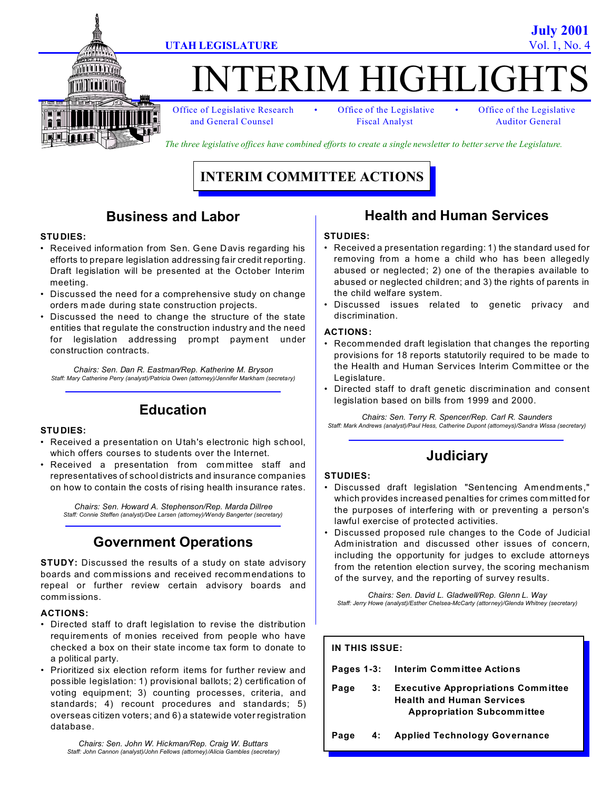

# TERIM HIGHLIGE

and General Counsel Fiscal Analyst Auditor General

Office of Legislative Research • Office of the Legislative • Office of the Legislative

*The three legislative offices have combined efforts to create a single newsletter to better serve the Legislature.* 

# **INTERIM COMMITTEE ACTIONS**

### **Business and Labor**

#### **STUDIES:**

- Received information from Sen. Gene Davis regarding his efforts to prepare legislation addressing fair credit reporting. Draft legislation will be presented at the October Interim meeting.
- Discussed the need for a comprehensive study on change orders m ade during state construction projects.
- Discussed the need to change the structure of the state entities that regulate the construction industry and the need for legislation addressing prompt payment under construction contracts.

*Chairs: Sen. Dan R. Eastman/Rep. Katherine M. Bryson Staff: Mary Catherine Perry (analyst)/Patricia Owen (attorney)/Jennifer Markham (secretary)*

# **Education**

#### **STUDIES:**

- Received a presentation on Utah's electronic high school, which offers courses to students over the Internet.
- Received a presentation from com mittee staff and representatives of school districts and insurance companies on how to contain the costs of rising health insurance rates.

*Chairs: Sen. Howard A. Stephenson/Rep. Marda Dillree Staff: Connie Steffen (analyst)/Dee Larsen (attorney)/Wendy Bangerter (secretary)*

# **Government Operations**

**STUDY:** Discussed the results of a study on state advisory boards and com missions and received recommendations to repeal or further review certain advisory boards and comm issions.

#### **ACTIONS:**

- Directed staff to draft legislation to revise the distribution requirements of m onies received from people who have checked a box on their state income tax form to donate to a political party.
- Prioritized six election reform items for further review and possible legislation: 1) provisional ballots; 2) certification of voting equipment; 3) counting processes, criteria, and standards; 4) recount procedures and standards; 5) overseas citizen voters; and 6) a statewide voter registration database.

*Chairs: Sen. John W. Hickman/Rep. Craig W. Buttars Staff: John Cannon (analyst)/John Fellows (attorney)/Alicia Gambles (secretary)*

### **Health and Human Services**

#### **STUDIES:**

- Received a presentation regarding: 1) the standard used for removing from a home a child who has been allegedly abused or neglected; 2) one of the therapies available to abused or neglected children; and 3) the rights of parents in the child welfare system.
- Discussed issues related to genetic privacy and discrimination.

#### **ACTIONS:**

- Recommended draft legislation that changes the reporting provisions for 18 reports statutorily required to be made to the Health and Human Services Interim Committee or the Legislature.
- Directed staff to draft genetic discrimination and consent legislation based on bills from 1999 and 2000.

*Chairs: Sen. Terry R. Spencer/Rep. Carl R. Saunders Staff: Mark Andrews (analyst)/Paul Hess, Catherine Dupont (attorneys)/Sandra Wissa (secretary)*

# **Judiciary**

#### **STUDIES:**

- Discussed draft legislation "Sentencing Amendments," which provides increased penalties for crimes com mitted for the purposes of interfering with or preventing a person's lawful exercise of protected activities.
- Discussed proposed rule changes to the Code of Judicial Adm inistration and discussed other issues of concern, including the opportunity for judges to exclude attorneys from the retention election survey, the scoring mechanism of the survey, and the reporting of survey results.

*Chairs: Sen. David L. Gladwell/Rep. Glenn L. Way Staff: Jerry Howe (analyst)/Esther Chelsea-McCarty (attorney)/Glenda Whitney (secretary)*

**IN THIS ISSUE:**

**Pages 1-3: Interim Committee Actions**

**Page 3: Executive Appropriations Committee Health and Human Services Appropriation Subcommittee**

**Page 4: Applied Technology Governance**

**July 2001 UTAH LEGISLATURE** Vol. 1, No.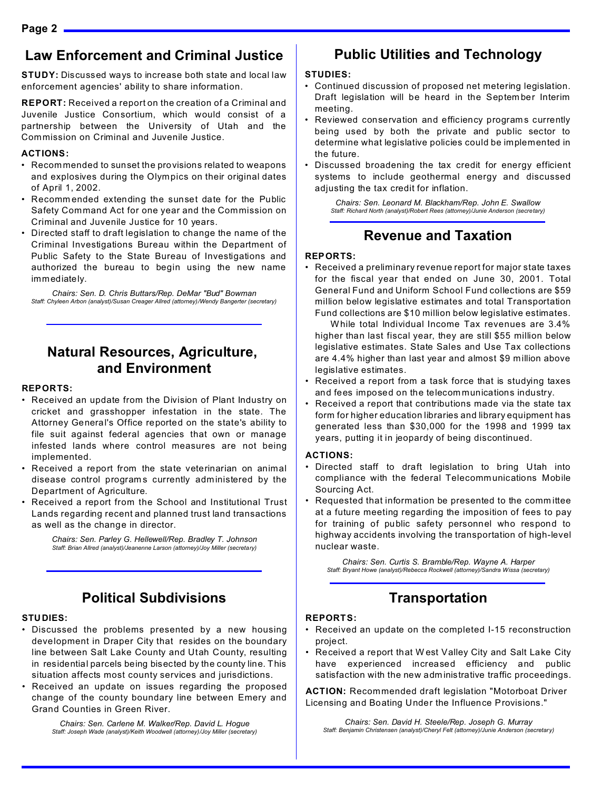### **Law Enforcement and Criminal Justice**

**STUDY:** Discussed ways to increase both state and local law enforcement agencies' ability to share information.

**REPORT:** Received a report on the creation of a Criminal and Juvenile Justice Consortium, which would consist of a partnership between the University of Utah and the Commission on Criminal and Juvenile Justice.

#### **ACTIONS:**

- Recommended to sunset the provisions related to weapons and explosives during the Olympics on their original dates of April 1, 2002.
- Recomm ended extending the sunset date for the Public Safety Command Act for one year and the Commission on Criminal and Juvenile Justice for 10 years.
- Directed staff to draft legislation to change the name of the Criminal Investigations Bureau within the Department of Public Safety to the State Bureau of Investigations and authorized the bureau to begin using the new name immediately.

*Chairs: Sen. D. Chris Buttars/Rep. DeMar "Bud" Bowman Staff: Chyleen Arbon (analyst)/Susan Creager Allred (attorney)/Wendy Bangerter (secretary)*

# **Natural Resources, Agriculture, and Environment**

#### **REPORTS:**

- Received an update from the Division of Plant Industry on cricket and grasshopper infestation in the state. The Attorney General's Office reported on the state's ability to file suit against federal agencies that own or manage infested lands where control measures are not being implemented.
- Received a report from the state veterinarian on animal disease control programs currently administered by the Department of Agriculture.
- Received a report from the School and Institutional Trust Lands regarding recent and planned trust land transactions as well as the change in director.

*Chairs: Sen. Parley G. Hellewell/Rep. Bradley T. Johnson Staff: Brian Allred (analyst)/Jeanenne Larson (attorney)/Joy Miller (secretary)*

### **Political Subdivisions**

#### **STUDIES:**

- Discussed the problems presented by a new housing development in Draper City that resides on the boundary line between Salt Lake County and Utah County, resulting in residential parcels being bisected by the county line. This situation affects most county services and jurisdictions.
- Received an update on issues regarding the proposed change of the county boundary line between Emery and Grand Counties in Green River.

*Chairs: Sen. Carlene M. Walker/Rep. David L. Hogue Staff: Joseph Wade (analyst)/Keith Woodwell (attorney)/Joy Miller (secretary)*

### **Public Utilities and Technology**

#### **STUDIES:**

- Continued discussion of proposed net metering legislation. Draft legislation will be heard in the Septem ber Interim meeting.
- Reviewed conservation and efficiency program s currently being used by both the private and public sector to determine what legislative policies could be implemented in the future.
- Discussed broadening the tax credit for energy efficient systems to include geothermal energy and discussed adjusting the tax credit for inflation.

*Chairs: Sen. Leonard M. Blackham/Rep. John E. Swallow Staff: Richard North (analyst)/Robert Rees (attorney)/Junie Anderson (secretary)*

### **Revenue and Taxation**

#### **REPORTS:**

• Received a preliminary revenue report for major state taxes for the fiscal year that ended on June 30, 2001. Total General Fund and Uniform School Fund collections are \$59 million below legislative estimates and total Transportation Fund collections are \$10 million below legislative estimates.

 While total Individual Income Tax revenues are 3.4% higher than last fiscal year, they are still \$55 million below legislative estimates. State Sales and Use Tax collections are 4.4% higher than last year and almost \$9 million above legislative estimates.

- Received a report from a task force that is studying taxes and fees imposed on the telecom munications industry.
- Received a report that contributions made via the state tax form for higher education libraries and library equipment has generated less than \$30,000 for the 1998 and 1999 tax years, putting it in jeopardy of being discontinued.

#### **ACTIONS:**

- Directed staff to draft legislation to bring Utah into compliance with the federal Telecommunications Mobile Sourcing Act.
- Requested that information be presented to the comm ittee at a future meeting regarding the imposition of fees to pay for training of public safety personnel who respond to highway accidents involving the transportation of high-level nuclear waste.

*Chairs: Sen. Curtis S. Bramble/Rep. Wayne A. Harper Staff: Bryant Howe (analyst)/Rebecca Rockwell (attorney)/Sandra Wissa (secretary)*

# **Transportation**

#### **REPORTS:**

- Received an update on the completed I-15 reconstruction project.
- Received a report that West Valley City and Salt Lake City have experienced increased efficiency and public satisfaction with the new adm inistrative traffic proceedings.

**ACTION:** Recommended draft legislation "Motorboat Driver Licensing and Boating Under the Influence Provisions."

*Chairs: Sen. David H. Steele/Rep. Joseph G. Murray Staff: Benjamin Christensen (analyst)/Cheryl Felt (attorney)/Junie Anderson (secretary)*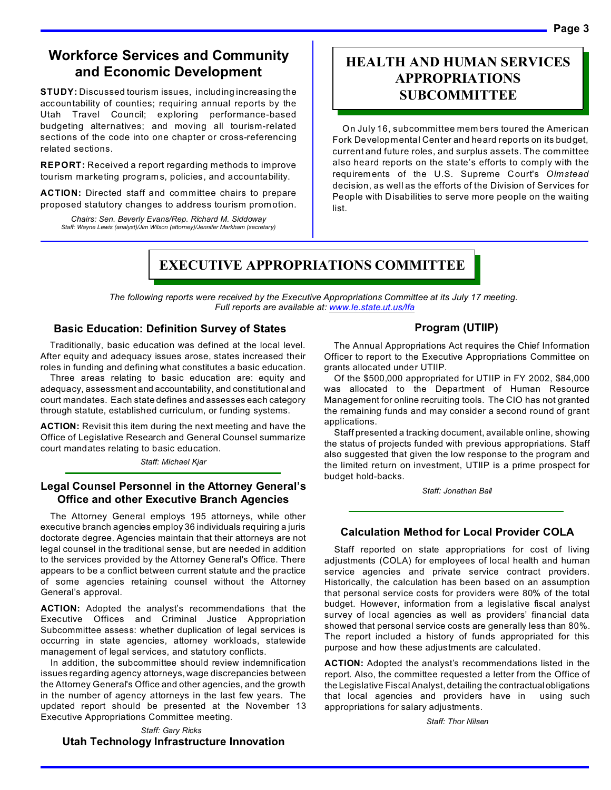### **Workforce Services and Community and Economic Development**

**STUDY:** Discussed tourism issues, including increasing the accountability of counties; requiring annual reports by the Utah Travel Council; exploring performance-based budgeting alternatives; and moving all tourism-related sections of the code into one chapter or cross-referencing related sections.

**REPORT:** Received a report regarding methods to improve tourism marketing program s, policies, and accountability.

**ACTION:** Directed staff and committee chairs to prepare proposed statutory changes to address tourism promotion.

*Chairs: Sen. Beverly Evans/Rep. Richard M. Siddoway Staff: Wayne Lewis (analyst)/Jim Wilson (attorney)/Jennifer Markham (secretary)*

### **HEALTH AND HUMAN SERVICES APPROPRIATIONS SUBCOMMITTEE**

On July 16, subcommittee mem bers toured the American Fork Developmental Center and heard reports on its budget, current and future roles, and surplus assets. The committee also heard reports on the state's efforts to comply with the requirements of the U.S. Supreme Court's *Olmstead* decision, as well as the efforts of the Division of Services for People with Disabilities to serve more people on the waiting list.

# **EXECUTIVE APPROPRIATIONS COMMITTEE**

*The following reports were received by the Executive Appropriations Committee at its July 17 meeting. Full reports are available at: www.le.state.ut.us/lfa*

#### **Basic Education: Definition Survey of States**

Traditionally, basic education was defined at the local level. After equity and adequacy issues arose, states increased their roles in funding and defining what constitutes a basic education.

Three areas relating to basic education are: equity and adequacy, assessment and accountability, and constitutional and court mandates. Each state defines and assesses each category through statute, established curriculum, or funding systems.

**ACTION:** Revisit this item during the next meeting and have the Office of Legislative Research and General Counsel summarize court mandates relating to basic education.

*Staff: Michael Kjar*

#### **Legal Counsel Personnel in the Attorney General's Office and other Executive Branch Agencies**

The Attorney General employs 195 attorneys, while other executive branch agencies employ 36 individuals requiring a juris doctorate degree. Agencies maintain that their attorneys are not legal counsel in the traditional sense, but are needed in addition to the services provided by the Attorney General's Office. There appears to be a conflict between current statute and the practice of some agencies retaining counsel without the Attorney General's approval.

**ACTION:** Adopted the analyst's recommendations that the Executive Offices and Criminal Justice Appropriation Subcommittee assess: whether duplication of legal services is occurring in state agencies, attorney workloads, statewide management of legal services, and statutory conflicts.

In addition, the subcommittee should review indemnification issues regarding agency attorneys, wage discrepancies between the Attorney General's Office and other agencies, and the growth in the number of agency attorneys in the last few years. The updated report should be presented at the November 13 Executive Appropriations Committee meeting.

*Staff: Gary Ricks* 

### **Utah Technology Infrastructure Innovation**

### **Program (UTIIP)**

The Annual Appropriations Act requires the Chief Information Officer to report to the Executive Appropriations Committee on grants allocated under UTIIP.

Of the \$500,000 appropriated for UTIIP in FY 2002, \$84,000 was allocated to the Department of Human Resource Management for online recruiting tools. The CIO has not granted the remaining funds and may consider a second round of grant applications.

Staff presented a tracking document, available online, showing the status of projects funded with previous appropriations. Staff also suggested that given the low response to the program and the limited return on investment, UTIIP is a prime prospect for budget hold-backs.

*Staff: Jonathan Ball*

### **Calculation Method for Local Provider COLA**

Staff reported on state appropriations for cost of living adjustments (COLA) for employees of local health and human service agencies and private service contract providers. Historically, the calculation has been based on an assumption that personal service costs for providers were 80% of the total budget. However, information from a legislative fiscal analyst survey of local agencies as well as providers' financial data showed that personal service costs are generally less than 80%. The report included a history of funds appropriated for this purpose and how these adjustments are calculated.

**ACTION:** Adopted the analyst's recommendations listed in the report. Also, the committee requested a letter from the Office of the Legislative Fiscal Analyst, detailing the contractualobligations that local agencies and providers have in using such appropriations for salary adjustments.

*Staff: Thor Nilsen*